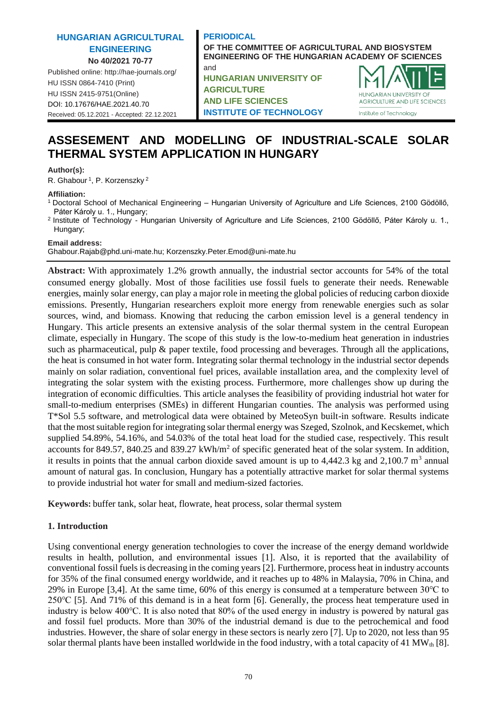## **HUNGARIAN AGRICULTURAL ENGINEERING No 40/2021 70-77**

Published online: http://hae-journals.org/ HU ISSN 0864-7410 (Print) HU ISSN 2415-9751(Online) [DOI: 10.17676/HAE.2021.40.70](https://doi.org/10.17676/HAE.2021.40.70) Received: 05.12.2021 - Accepted: 22.12.2021

### **PERIODICAL OF THE COMMITTEE OF AGRICULTURAL AND BIOSYSTEM ENGINEERING OF THE HUNGARIAN ACADEMY OF SCIENCES** and **HUNGARIAN UNIVERSITY OF**

**AGRICULTURE AND LIFE SCIENCES INSTITUTE OF TECHNOLOGY**



# **ASSESEMENT AND MODELLING OF INDUSTRIAL-SCALE SOLAR THERMAL SYSTEM APPLICATION IN HUNGARY**

### **Author(s):**

R. Ghabour<sup>1</sup>, P. Korzenszky<sup>2</sup>

#### **Affiliation:**

- <sup>1</sup>Doctoral School of Mechanical Engineering Hungarian University of Agriculture and Life Sciences, 2100 Gödöllő, Páter Károly u. 1., Hungary;
- <sup>2</sup>Institute of Technology Hungarian University of Agriculture and Life Sciences, 2100 Gödöllő, Páter Károly u. 1., Hungary;

### **Email address:**

Ghabour.Rajab@phd.uni-mate.hu; Korzenszky.Peter.Emod@uni-mate.hu

**Abstract:** With approximately 1.2% growth annually, the industrial sector accounts for 54% of the total consumed energy globally. Most of those facilities use fossil fuels to generate their needs. Renewable energies, mainly solar energy, can play a major role in meeting the global policies of reducing carbon dioxide emissions. Presently, Hungarian researchers exploit more energy from renewable energies such as solar sources, wind, and biomass. Knowing that reducing the carbon emission level is a general tendency in Hungary. This article presents an extensive analysis of the solar thermal system in the central European climate, especially in Hungary. The scope of this study is the low-to-medium heat generation in industries such as pharmaceutical, pulp & paper textile, food processing and beverages. Through all the applications, the heat is consumed in hot water form. Integrating solar thermal technology in the industrial sector depends mainly on solar radiation, conventional fuel prices, available installation area, and the complexity level of integrating the solar system with the existing process. Furthermore, more challenges show up during the integration of economic difficulties. This article analyses the feasibility of providing industrial hot water for small-to-medium enterprises (SMEs) in different Hungarian counties. The analysis was performed using T\*Sol 5.5 software, and metrological data were obtained by MeteoSyn built-in software. Results indicate that the most suitable region for integrating solar thermal energy was Szeged, Szolnok, and Kecskemet, which supplied 54.89%, 54.16%, and 54.03% of the total heat load for the studied case, respectively. This result accounts for 849.57, 840.25 and 839.27 kWh/m<sup>2</sup> of specific generated heat of the solar system. In addition, it results in points that the annual carbon dioxide saved amount is up to  $4,442.3$  kg and  $2,100.7$  m<sup>3</sup> annual amount of natural gas. In conclusion, Hungary has a potentially attractive market for solar thermal systems to provide industrial hot water for small and medium-sized factories.

**Keywords:** buffer tank, solar heat, flowrate, heat process, solar thermal system

# **1. Introduction**

Using conventional energy generation technologies to cover the increase of the energy demand worldwide results in health, pollution, and environmental issues [1]. Also, it is reported that the availability of conventional fossil fuels is decreasing in the coming years [2]. Furthermore, process heat in industry accounts for 35% of the final consumed energy worldwide, and it reaches up to 48% in Malaysia, 70% in China, and 29% in Europe [3,4]. At the same time, 60% of this energy is consumed at a temperature between  $30^{\circ}$ C to 250℃ [5]. And 71% of this demand is in a heat form [6]. Generally, the process heat temperature used in industry is below 400℃. It is also noted that 80% of the used energy in industry is powered by natural gas and fossil fuel products. More than 30% of the industrial demand is due to the petrochemical and food industries. However, the share of solar energy in these sectors is nearly zero [7]. Up to 2020, not less than 95 solar thermal plants have been installed worldwide in the food industry, with a total capacity of 41 MW $_{th}$  [8].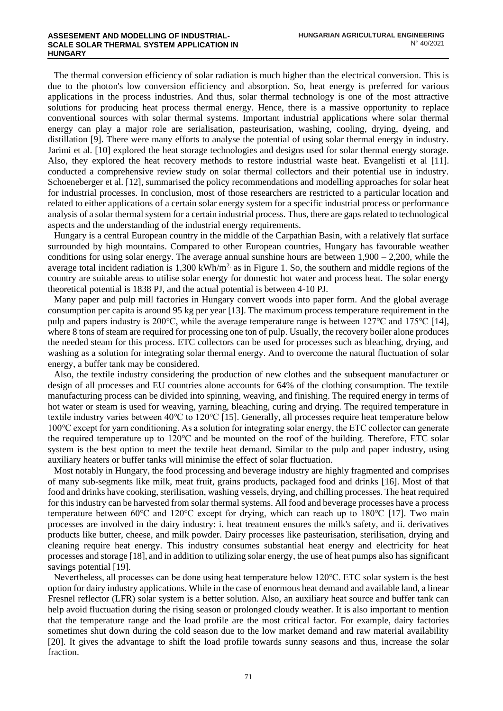The thermal conversion efficiency of solar radiation is much higher than the electrical conversion. This is due to the photon's low conversion efficiency and absorption. So, heat energy is preferred for various applications in the process industries. And thus, solar thermal technology is one of the most attractive solutions for producing heat process thermal energy. Hence, there is a massive opportunity to replace conventional sources with solar thermal systems. Important industrial applications where solar thermal energy can play a major role are serialisation, pasteurisation, washing, cooling, drying, dyeing, and distillation [9]. There were many efforts to analyse the potential of using solar thermal energy in industry. Jarimi et al. [10] explored the heat storage technologies and designs used for solar thermal energy storage. Also, they explored the heat recovery methods to restore industrial waste heat. Evangelisti et al [11]. conducted a comprehensive review study on solar thermal collectors and their potential use in industry. Schoeneberger et al. [12], summarised the policy recommendations and modelling approaches for solar heat for industrial processes. In conclusion, most of those researchers are restricted to a particular location and related to either applications of a certain solar energy system for a specific industrial process or performance analysis of a solar thermal system for a certain industrial process. Thus, there are gaps related to technological aspects and the understanding of the industrial energy requirements.

Hungary is a central European country in the middle of the Carpathian Basin, with a relatively flat surface surrounded by high mountains. Compared to other European countries, Hungary has favourable weather conditions for using solar energy. The average annual sunshine hours are between  $1,900 - 2,200$ , while the average total incident radiation is  $1,300 \text{ kWh/m}^2$  as in Figure 1. So, the southern and middle regions of the country are suitable areas to utilise solar energy for domestic hot water and process heat. The solar energy theoretical potential is 1838 PJ, and the actual potential is between 4-10 PJ.

Many paper and pulp mill factories in Hungary convert woods into paper form. And the global average consumption per capita is around 95 kg per year [13]. The maximum process temperature requirement in the pulp and papers industry is 200℃, while the average temperature range is between 127℃ and 175℃ [14], where 8 tons of steam are required for processing one ton of pulp. Usually, the recovery boiler alone produces the needed steam for this process. ETC collectors can be used for processes such as bleaching, drying, and washing as a solution for integrating solar thermal energy. And to overcome the natural fluctuation of solar energy, a buffer tank may be considered.

Also, the textile industry considering the production of new clothes and the subsequent manufacturer or design of all processes and EU countries alone accounts for 64% of the clothing consumption. The textile manufacturing process can be divided into spinning, weaving, and finishing. The required energy in terms of hot water or steam is used for weaving, yarning, bleaching, curing and drying. The required temperature in textile industry varies between 40℃ to 120℃ [15]. Generally, all processes require heat temperature below 100℃ except for yarn conditioning. As a solution for integrating solar energy, the ETC collector can generate the required temperature up to 120℃ and be mounted on the roof of the building. Therefore, ETC solar system is the best option to meet the textile heat demand. Similar to the pulp and paper industry, using auxiliary heaters or buffer tanks will minimise the effect of solar fluctuation.

Most notably in Hungary, the food processing and beverage industry are highly fragmented and comprises of many sub-segments like milk, meat fruit, grains products, packaged food and drinks [16]. Most of that food and drinks have cooking, sterilisation, washing vessels, drying, and chilling processes. The heat required for this industry can be harvested from solar thermal systems. All food and beverage processes have a process temperature between 60℃ and 120℃ except for drying, which can reach up to 180℃ [17]. Two main processes are involved in the dairy industry: i. heat treatment ensures the milk's safety, and ii. derivatives products like butter, cheese, and milk powder. Dairy processes like pasteurisation, sterilisation, drying and cleaning require heat energy. This industry consumes substantial heat energy and electricity for heat processes and storage [18], and in addition to utilizing solar energy, the use of heat pumps also has significant savings potential [19].

Nevertheless, all processes can be done using heat temperature below 120℃. ETC solar system is the best option for dairy industry applications. While in the case of enormous heat demand and available land, a linear Fresnel reflector (LFR) solar system is a better solution. Also, an auxiliary heat source and buffer tank can help avoid fluctuation during the rising season or prolonged cloudy weather. It is also important to mention that the temperature range and the load profile are the most critical factor. For example, dairy factories sometimes shut down during the cold season due to the low market demand and raw material availability [20]. It gives the advantage to shift the load profile towards sunny seasons and thus, increase the solar fraction.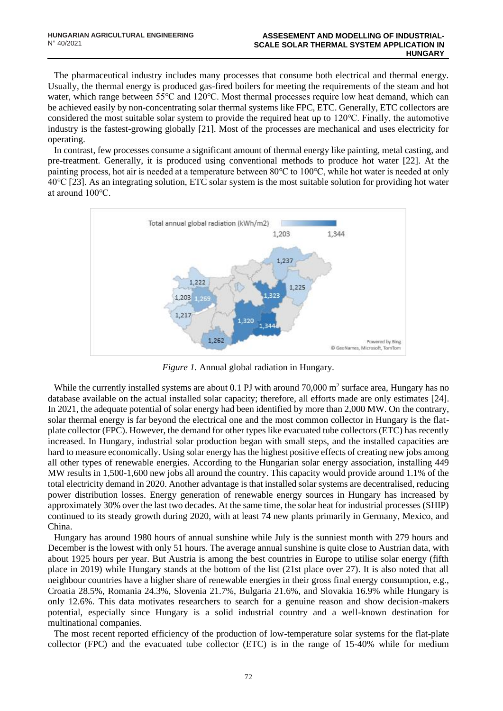The pharmaceutical industry includes many processes that consume both electrical and thermal energy. Usually, the thermal energy is produced gas-fired boilers for meeting the requirements of the steam and hot water, which range between 55℃ and 120℃. Most thermal processes require low heat demand, which can be achieved easily by non-concentrating solar thermal systems like FPC, ETC. Generally, ETC collectors are considered the most suitable solar system to provide the required heat up to 120℃. Finally, the automotive industry is the fastest-growing globally [21]. Most of the processes are mechanical and uses electricity for operating.

In contrast, few processes consume a significant amount of thermal energy like painting, metal casting, and pre-treatment. Generally, it is produced using conventional methods to produce hot water [22]. At the painting process, hot air is needed at a temperature between 80℃ to 100℃, while hot water is needed at only 40℃ [23]. As an integrating solution, ETC solar system is the most suitable solution for providing hot water at around 100℃.



*Figure 1.* Annual global radiation in Hungary.

While the currently installed systems are about  $0.1$  PJ with around  $70,000$  m<sup>2</sup> surface area, Hungary has no database available on the actual installed solar capacity; therefore, all efforts made are only estimates [24]. In 2021, the adequate potential of solar energy had been identified by more than 2,000 MW. On the contrary, solar thermal energy is far beyond the electrical one and the most common collector in Hungary is the flatplate collector (FPC). However, the demand for other types like evacuated tube collectors (ETC) has recently increased. In Hungary, industrial solar production began with small steps, and the installed capacities are hard to measure economically. Using solar energy has the highest positive effects of creating new jobs among all other types of renewable energies. According to the Hungarian solar energy association, installing 449 MW results in 1,500-1,600 new jobs all around the country. This capacity would provide around 1.1% of the total electricity demand in 2020. Another advantage is that installed solar systems are decentralised, reducing power distribution losses. Energy generation of renewable energy sources in Hungary has increased by approximately 30% over the last two decades. At the same time, the solar heat for industrial processes (SHIP) continued to its steady growth during 2020, with at least 74 new plants primarily in Germany, Mexico, and China.

Hungary has around 1980 hours of annual sunshine while July is the sunniest month with 279 hours and December is the lowest with only 51 hours. The average annual sunshine is quite close to Austrian data, with about 1925 hours per year. But Austria is among the best countries in Europe to utilise solar energy (fifth place in 2019) while Hungary stands at the bottom of the list (21st place over 27). It is also noted that all neighbour countries have a higher share of renewable energies in their gross final energy consumption, e.g., Croatia 28.5%, Romania 24.3%, Slovenia 21.7%, Bulgaria 21.6%, and Slovakia 16.9% while Hungary is only 12.6%. This data motivates researchers to search for a genuine reason and show decision-makers potential, especially since Hungary is a solid industrial country and a well-known destination for multinational companies.

The most recent reported efficiency of the production of low-temperature solar systems for the flat-plate collector (FPC) and the evacuated tube collector (ETC) is in the range of 15-40% while for medium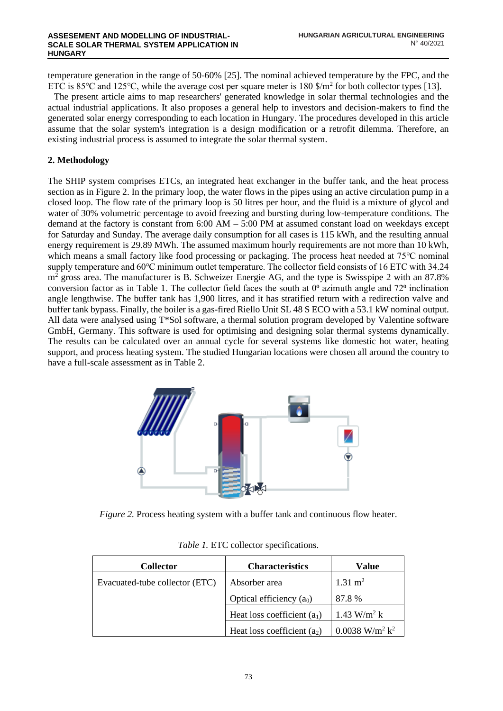temperature generation in the range of 50-60% [25]. The nominal achieved temperature by the FPC, and the ETC is 85°C and 125°C, while the average cost per square meter is 180  $\frac{\pi^2}{10}$  for both collector types [13].

The present article aims to map researchers' generated knowledge in solar thermal technologies and the actual industrial applications. It also proposes a general help to investors and decision-makers to find the generated solar energy corresponding to each location in Hungary. The procedures developed in this article assume that the solar system's integration is a design modification or a retrofit dilemma. Therefore, an existing industrial process is assumed to integrate the solar thermal system.

# **2. Methodology**

The SHIP system comprises ETCs, an integrated heat exchanger in the buffer tank, and the heat process section as in Figure 2. In the primary loop, the water flows in the pipes using an active circulation pump in a closed loop. The flow rate of the primary loop is 50 litres per hour, and the fluid is a mixture of glycol and water of 30% volumetric percentage to avoid freezing and bursting during low-temperature conditions. The demand at the factory is constant from  $6:00 \text{ AM} - 5:00 \text{ PM}$  at assumed constant load on weekdays except for Saturday and Sunday. The average daily consumption for all cases is 115 kWh, and the resulting annual energy requirement is 29.89 MWh. The assumed maximum hourly requirements are not more than 10 kWh, which means a small factory like food processing or packaging. The process heat needed at 75℃ nominal supply temperature and 60℃ minimum outlet temperature. The collector field consists of 16 ETC with 34.24 m<sup>2</sup> gross area. The manufacturer is B. Schweizer Energie AG, and the type is Swisspipe 2 with an 87.8% conversion factor as in Table 1. The collector field faces the south at  $0^{\circ}$  azimuth angle and  $72^{\circ}$  inclination angle lengthwise. The buffer tank has 1,900 litres, and it has stratified return with a redirection valve and buffer tank bypass. Finally, the boiler is a gas-fired Riello Unit SL 48 S ECO with a 53.1 kW nominal output. All data were analysed using T\*Sol software, a thermal solution program developed by Valentine software GmbH, Germany. This software is used for optimising and designing solar thermal systems dynamically. The results can be calculated over an annual cycle for several systems like domestic hot water, heating support, and process heating system. The studied Hungarian locations were chosen all around the country to have a full-scale assessment as in Table 2.



*Figure 2.* Process heating system with a buffer tank and continuous flow heater.

| <b>Collector</b>               | <b>Characteristics</b>        | Value                                    |  |
|--------------------------------|-------------------------------|------------------------------------------|--|
| Evacuated-tube collector (ETC) | Absorber area                 | $1.31 \text{ m}^2$                       |  |
|                                | Optical efficiency $(a_0)$    | 87.8 %                                   |  |
|                                | Heat loss coefficient $(a_1)$ | 1.43 W/m <sup>2</sup> k                  |  |
|                                | Heat loss coefficient $(a2)$  | $0.0038$ W/m <sup>2</sup> k <sup>2</sup> |  |

*Table 1.* ETC collector specifications.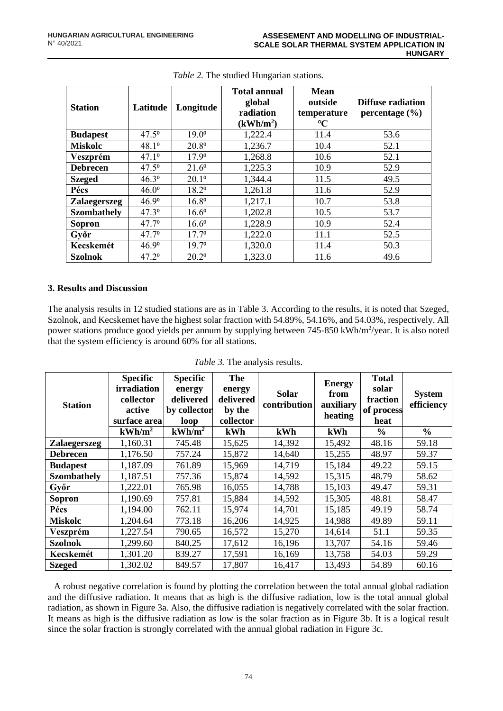| <b>Station</b>      | Latitude       | Longitude      | <b>Total annual</b><br>global<br>radiation<br>(kWh/m <sup>2</sup> ) | <b>Mean</b><br>outside<br>temperature<br>$\rm ^{\circ}\!C$ | Diffuse radiation<br>percentage $(\% )$ |
|---------------------|----------------|----------------|---------------------------------------------------------------------|------------------------------------------------------------|-----------------------------------------|
| <b>Budapest</b>     | $47.5^{\circ}$ | $19.0^{\circ}$ | 1,222.4                                                             | 11.4                                                       | 53.6                                    |
| <b>Miskolc</b>      | $48.1^{\circ}$ | $20.8^{\circ}$ | 1,236.7                                                             | 10.4                                                       | 52.1                                    |
| Veszprém            | $47.1^{\circ}$ | 17.90          | 1,268.8                                                             | 10.6                                                       | 52.1                                    |
| <b>Debrecen</b>     | $47.5^{\circ}$ | $21.6^{\circ}$ | 1,225.3                                                             | 10.9                                                       | 52.9                                    |
| <b>Szeged</b>       | $46.3^{\circ}$ | $20.1^{\circ}$ | 1,344.4                                                             | 11.5                                                       | 49.5                                    |
| Pécs                | $46.0^{\circ}$ | 18.20          | 1,261.8                                                             | 11.6                                                       | 52.9                                    |
| <b>Zalaegerszeg</b> | 46.9°          | 16.80          | 1,217.1                                                             | 10.7                                                       | 53.8                                    |
| <b>Szombathely</b>  | $47.3^{\circ}$ | $16.6^{\circ}$ | 1,202.8                                                             | 10.5                                                       | 53.7                                    |
| Sopron              | $47.7^{\circ}$ | $16.6^{\circ}$ | 1,228.9                                                             | 10.9                                                       | 52.4                                    |
| Győr                | $47.7^{\circ}$ | $17.7^{\circ}$ | 1,222.0                                                             | 11.1                                                       | 52.5                                    |
| Kecskemét           | 46.9°          | $19.7^{\circ}$ | 1,320.0                                                             | 11.4                                                       | 50.3                                    |
| <b>Szolnok</b>      | $47.2^{\circ}$ | $20.2^{\circ}$ | 1,323.0                                                             | 11.6                                                       | 49.6                                    |

|  | Table 2. The studied Hungarian stations. |  |
|--|------------------------------------------|--|
|  |                                          |  |

### **3. Results and Discussion**

The analysis results in 12 studied stations are as in Table 3. According to the results, it is noted that Szeged, Szolnok, and Kecskemet have the highest solar fraction with 54.89%, 54.16%, and 54.03%, respectively. All power stations produce good yields per annum by supplying between 745-850 kWh/m<sup>2</sup>/year. It is also noted that the system efficiency is around 60% for all stations.

| <b>Station</b>      | <b>Specific</b><br>irradiation<br>collector<br>active<br>surface area | <b>Specific</b><br>energy<br>delivered<br>by collector<br>loop | The<br>energy<br>delivered<br>by the<br>collector | <b>Solar</b><br>contribution | <b>Energy</b><br>from<br>auxiliary<br>heating | <b>Total</b><br>solar<br>fraction<br>of process<br>heat | <b>System</b><br>efficiency |
|---------------------|-----------------------------------------------------------------------|----------------------------------------------------------------|---------------------------------------------------|------------------------------|-----------------------------------------------|---------------------------------------------------------|-----------------------------|
|                     | $kWh/m^2$                                                             | $kWh/m^2$                                                      | kWh                                               | kWh                          | kWh                                           | $\frac{6}{6}$                                           | $\frac{6}{6}$               |
| <b>Zalaegerszeg</b> | 1,160.31                                                              | 745.48                                                         | 15,625                                            | 14,392                       | 15,492                                        | 48.16                                                   | 59.18                       |
| <b>Debrecen</b>     | 1,176.50                                                              | 757.24                                                         | 15,872                                            | 14,640                       | 15,255                                        | 48.97                                                   | 59.37                       |
| <b>Budapest</b>     | 1,187.09                                                              | 761.89                                                         | 15,969                                            | 14,719                       | 15,184                                        | 49.22                                                   | 59.15                       |
| <b>Szombathely</b>  | 1,187.51                                                              | 757.36                                                         | 15,874                                            | 14,592                       | 15,315                                        | 48.79                                                   | 58.62                       |
| Győr                | 1,222.01                                                              | 765.98                                                         | 16,055                                            | 14,788                       | 15,103                                        | 49.47                                                   | 59.31                       |
| Sopron              | 1,190.69                                                              | 757.81                                                         | 15,884                                            | 14,592                       | 15,305                                        | 48.81                                                   | 58.47                       |
| Pécs                | 1,194.00                                                              | 762.11                                                         | 15,974                                            | 14,701                       | 15,185                                        | 49.19                                                   | 58.74                       |
| <b>Miskolc</b>      | 1,204.64                                                              | 773.18                                                         | 16,206                                            | 14,925                       | 14,988                                        | 49.89                                                   | 59.11                       |
| Veszprém            | 1,227.54                                                              | 790.65                                                         | 16,572                                            | 15,270                       | 14,614                                        | 51.1                                                    | 59.35                       |
| Szolnok             | 1,299.60                                                              | 840.25                                                         | 17,612                                            | 16,196                       | 13,707                                        | 54.16                                                   | 59.46                       |
| Kecskemét           | 1,301.20                                                              | 839.27                                                         | 17,591                                            | 16,169                       | 13,758                                        | 54.03                                                   | 59.29                       |
| <b>Szeged</b>       | 1,302.02                                                              | 849.57                                                         | 17,807                                            | 16,417                       | 13,493                                        | 54.89                                                   | 60.16                       |

*Table 3.* The analysis results.

A robust negative correlation is found by plotting the correlation between the total annual global radiation and the diffusive radiation. It means that as high is the diffusive radiation, low is the total annual global radiation, as shown in Figure 3a. Also, the diffusive radiation is negatively correlated with the solar fraction. It means as high is the diffusive radiation as low is the solar fraction as in Figure 3b. It is a logical result since the solar fraction is strongly correlated with the annual global radiation in Figure 3c.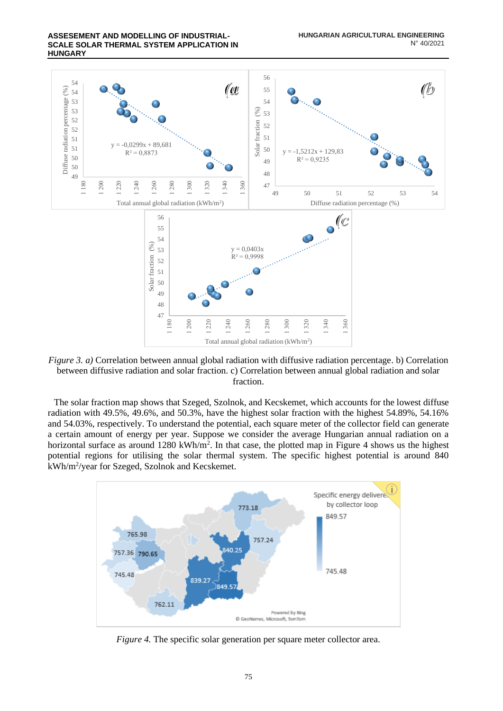

*Figure 3. a)* Correlation between annual global radiation with diffusive radiation percentage. b) Correlation between diffusive radiation and solar fraction. c) Correlation between annual global radiation and solar fraction.

The solar fraction map shows that Szeged, Szolnok, and Kecskemet, which accounts for the lowest diffuse radiation with 49.5%, 49.6%, and 50.3%, have the highest solar fraction with the highest 54.89%, 54.16% and 54.03%, respectively. To understand the potential, each square meter of the collector field can generate a certain amount of energy per year. Suppose we consider the average Hungarian annual radiation on a horizontal surface as around 1280 kWh/m<sup>2</sup>. In that case, the plotted map in Figure 4 shows us the highest potential regions for utilising the solar thermal system. The specific highest potential is around 840 kWh/m<sup>2</sup> /year for Szeged, Szolnok and Kecskemet.



*Figure 4.* The specific solar generation per square meter collector area.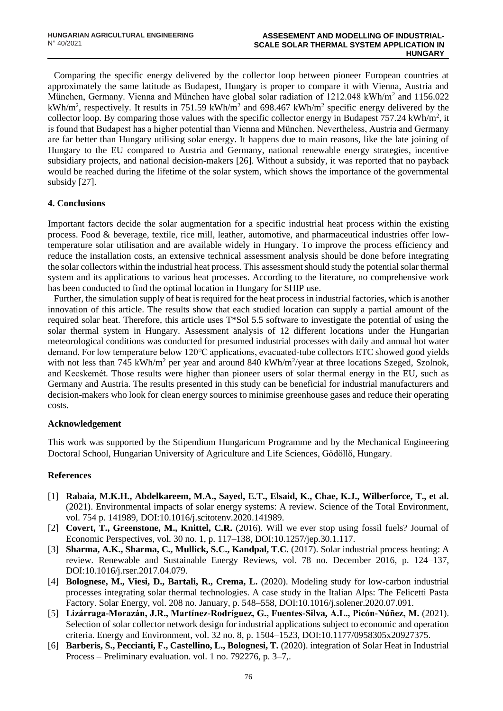Comparing the specific energy delivered by the collector loop between pioneer European countries at approximately the same latitude as Budapest, Hungary is proper to compare it with Vienna, Austria and München, Germany. Vienna and München have global solar radiation of 1212.048 kWh/m<sup>2</sup> and 1156.022 kWh/m<sup>2</sup>, respectively. It results in 751.59 kWh/m<sup>2</sup> and 698.467 kWh/m<sup>2</sup> specific energy delivered by the collector loop. By comparing those values with the specific collector energy in Budapest  $757.24 \text{ kWh/m}^2$ , it is found that Budapest has a higher potential than Vienna and München. Nevertheless, Austria and Germany are far better than Hungary utilising solar energy. It happens due to main reasons, like the late joining of Hungary to the EU compared to Austria and Germany, national renewable energy strategies, incentive subsidiary projects, and national decision-makers [26]. Without a subsidy, it was reported that no payback would be reached during the lifetime of the solar system, which shows the importance of the governmental subsidy [27].

### **4. Conclusions**

Important factors decide the solar augmentation for a specific industrial heat process within the existing process. Food & beverage, textile, rice mill, leather, automotive, and pharmaceutical industries offer lowtemperature solar utilisation and are available widely in Hungary. To improve the process efficiency and reduce the installation costs, an extensive technical assessment analysis should be done before integrating the solar collectors within the industrial heat process. This assessment should study the potential solar thermal system and its applications to various heat processes. According to the literature, no comprehensive work has been conducted to find the optimal location in Hungary for SHIP use.

Further, the simulation supply of heat is required for the heat process in industrial factories, which is another innovation of this article. The results show that each studied location can supply a partial amount of the required solar heat. Therefore, this article uses T\*Sol 5.5 software to investigate the potential of using the solar thermal system in Hungary. Assessment analysis of 12 different locations under the Hungarian meteorological conditions was conducted for presumed industrial processes with daily and annual hot water demand. For low temperature below 120℃ applications, evacuated-tube collectors ETC showed good yields with not less than 745 kWh/m<sup>2</sup> per year and around 840 kWh/m<sup>2</sup>/year at three locations Szeged, Szolnok, and Kecskemét. Those results were higher than pioneer users of solar thermal energy in the EU, such as Germany and Austria. The results presented in this study can be beneficial for industrial manufacturers and decision-makers who look for clean energy sources to minimise greenhouse gases and reduce their operating costs.

### **Acknowledgement**

This work was supported by the Stipendium Hungaricum Programme and by the Mechanical Engineering Doctoral School, Hungarian University of Agriculture and Life Sciences, Gödöllő, Hungary.

#### **References**

- [1] **Rabaia, M.K.H., Abdelkareem, M.A., Sayed, E.T., Elsaid, K., Chae, K.J., Wilberforce, T., et al.**  (2021). Environmental impacts of solar energy systems: A review. Science of the Total Environment, vol. 754 p. 141989, DOI:10.1016/j.scitotenv.2020.141989.
- [2] **Covert, T., Greenstone, M., Knittel, C.R.** (2016). Will we ever stop using fossil fuels? Journal of Economic Perspectives, vol. 30 no. 1, p. 117–138, DOI:10.1257/jep.30.1.117.
- [3] **Sharma, A.K., Sharma, C., Mullick, S.C., Kandpal, T.C.** (2017). Solar industrial process heating: A review. Renewable and Sustainable Energy Reviews, vol. 78 no. December 2016, p. 124–137, DOI:10.1016/j.rser.2017.04.079.
- [4] **Bolognese, M., Viesi, D., Bartali, R., Crema, L.** (2020). Modeling study for low-carbon industrial processes integrating solar thermal technologies. A case study in the Italian Alps: The Felicetti Pasta Factory. Solar Energy, vol. 208 no. January, p. 548–558, DOI:10.1016/j.solener.2020.07.091.
- [5] **Lizárraga-Morazán, J.R., Martínez-Rodríguez, G., Fuentes-Silva, A.L., Picón-Núñez, M.** (2021). Selection of solar collector network design for industrial applications subject to economic and operation criteria. Energy and Environment, vol. 32 no. 8, p. 1504–1523, DOI:10.1177/0958305x20927375.
- [6] **Barberis, S., Peccianti, F., Castellino, L., Bolognesi, T.** (2020). integration of Solar Heat in Industrial Process – Preliminary evaluation. vol. 1 no. 792276, p. 3–7,.